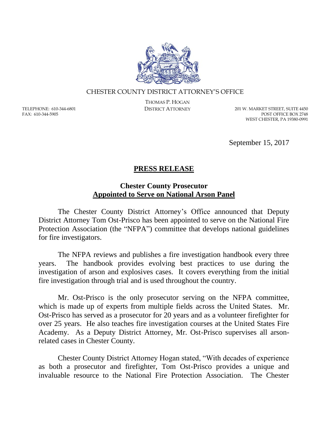

## CHESTER COUNTY DISTRICT ATTORNEY'S OFFICE

TELEPHONE: 610-344-6801 FAX: 610-344-5905

THOMAS P. HOGAN

DISTRICT ATTORNEY 201 W. MARKET STREET, SUITE 4450 POST OFFICE BOX 2748 WEST CHESTER, PA 19380-0991

September 15, 2017

## **PRESS RELEASE**

## **Chester County Prosecutor Appointed to Serve on National Arson Panel**

The Chester County District Attorney's Office announced that Deputy District Attorney Tom Ost-Prisco has been appointed to serve on the National Fire Protection Association (the "NFPA") committee that develops national guidelines for fire investigators.

The NFPA reviews and publishes a fire investigation handbook every three years. The handbook provides evolving best practices to use during the investigation of arson and explosives cases. It covers everything from the initial fire investigation through trial and is used throughout the country.

Mr. Ost-Prisco is the only prosecutor serving on the NFPA committee, which is made up of experts from multiple fields across the United States. Mr. Ost-Prisco has served as a prosecutor for 20 years and as a volunteer firefighter for over 25 years. He also teaches fire investigation courses at the United States Fire Academy. As a Deputy District Attorney, Mr. Ost-Prisco supervises all arsonrelated cases in Chester County.

Chester County District Attorney Hogan stated, "With decades of experience as both a prosecutor and firefighter, Tom Ost-Prisco provides a unique and invaluable resource to the National Fire Protection Association. The Chester